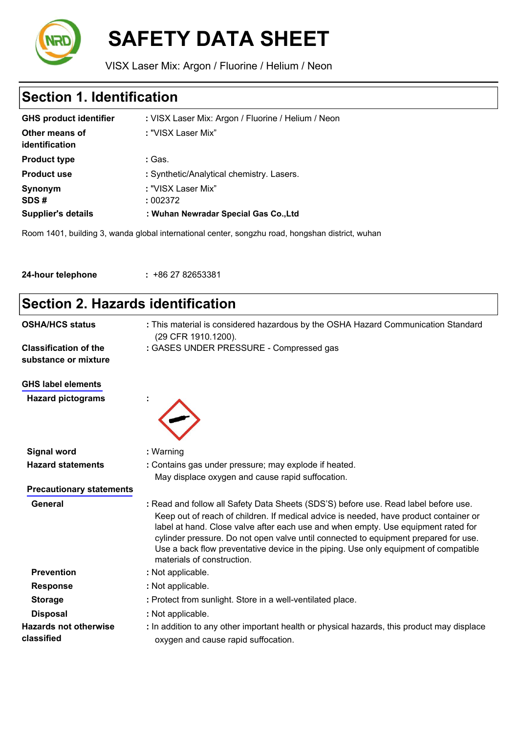

# **SAFETY DATA SHEET**

VISX Laser Mix: Argon / Fluorine / Helium / Neon

# **Section 1. Identification**

| <b>Supplier's details</b>        | : Wuhan Newradar Special Gas Co., Ltd              |
|----------------------------------|----------------------------------------------------|
| SDS#                             | : 002372                                           |
| Synonym                          | : "VISX Laser Mix"                                 |
| <b>Product use</b>               | : Synthetic/Analytical chemistry. Lasers.          |
| <b>Product type</b>              | : Gas.                                             |
| Other means of<br>identification | : "VISX Laser Mix"                                 |
| <b>GHS product identifier</b>    | : VISX Laser Mix: Argon / Fluorine / Helium / Neon |
|                                  |                                                    |

Room 1401, building 3, wanda global international center, songzhu road, hongshan district, wuhan

| 24-hour telephone | $: +862782653381$ |  |
|-------------------|-------------------|--|
|-------------------|-------------------|--|

### **Section 2. Hazards identification OSHA/HCS status :** This material is considered hazardous by the OSHA Hazard Communication Standard (29 CFR 1910.1200). **Classification of the :** GASES UNDER PRESSURE - Compressed gas **substance or mixture GHS label elements Hazard pictograms : Signal word :** Warning **Hazard statements :** Contains gas under pressure; may explode if heated. May displace oxygen and cause rapid suffocation. **Precautionary statements General :** Read and follow all Safety Data Sheets (SDS'S) before use. Read label before use. Keep out of reach of children. If medical advice is needed, have product container or label at hand. Close valve after each use and when empty. Use equipment rated for cylinder pressure. Do not open valve until connected to equipment prepared for use. Use a back flow preventative device in the piping. Use only equipment of compatible materials of construction. **Prevention :** Not applicable. **Response :** Not applicable. **Storage <b>Storage :** Protect from sunlight. Store in a well-ventilated place. **Disposal :** Not applicable. **Hazards not otherwise :** In addition to any other important health or physical hazards, this product may displace **classified** oxygen and cause rapid suffocation.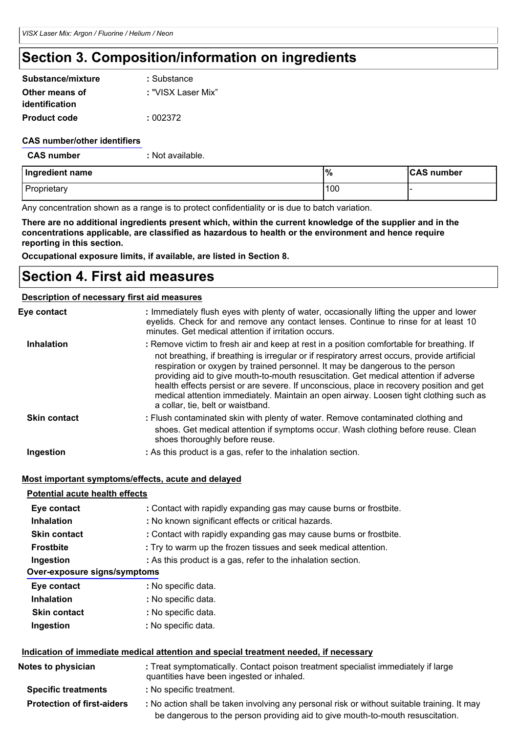# **Section 3. Composition/information on ingredients**

| Substance/mixture   | : Substance        |
|---------------------|--------------------|
| Other means of      | : "VISX Laser Mix" |
| identification      |                    |
| <b>Product code</b> | : 002372           |

#### **CAS number/other identifiers**

**CAS number :** Not available.

| Ingredient name | '%  | <b>CAS number</b> |
|-----------------|-----|-------------------|
| Proprietary     | 100 |                   |

Any concentration shown as a range is to protect confidentiality or is due to batch variation.

There are no additional ingredients present which, within the current knowledge of the supplier and in the **concentrations applicable, are classified as hazardous to health or the environment and hence require reporting in this section.**

**Occupational exposure limits, if available, are listed in Section 8.**

### **Section 4. First aid measures**

#### **Description of necessary first aid measures**

| Eye contact         | : Immediately flush eyes with plenty of water, occasionally lifting the upper and lower<br>eyelids. Check for and remove any contact lenses. Continue to rinse for at least 10<br>minutes. Get medical attention if irritation occurs.                                                                                                                                                                                                                                                                                                                                                       |
|---------------------|----------------------------------------------------------------------------------------------------------------------------------------------------------------------------------------------------------------------------------------------------------------------------------------------------------------------------------------------------------------------------------------------------------------------------------------------------------------------------------------------------------------------------------------------------------------------------------------------|
| <b>Inhalation</b>   | : Remove victim to fresh air and keep at rest in a position comfortable for breathing. If<br>not breathing, if breathing is irregular or if respiratory arrest occurs, provide artificial<br>respiration or oxygen by trained personnel. It may be dangerous to the person<br>providing aid to give mouth-to-mouth resuscitation. Get medical attention if adverse<br>health effects persist or are severe. If unconscious, place in recovery position and get<br>medical attention immediately. Maintain an open airway. Loosen tight clothing such as<br>a collar, tie, belt or waistband. |
| <b>Skin contact</b> | : Flush contaminated skin with plenty of water. Remove contaminated clothing and<br>shoes. Get medical attention if symptoms occur. Wash clothing before reuse. Clean<br>shoes thoroughly before reuse.                                                                                                                                                                                                                                                                                                                                                                                      |
| Ingestion           | : As this product is a gas, refer to the inhalation section.                                                                                                                                                                                                                                                                                                                                                                                                                                                                                                                                 |
|                     |                                                                                                                                                                                                                                                                                                                                                                                                                                                                                                                                                                                              |

#### **Most important symptoms/effects, acute and delayed**

| <b>Potential acute health effects</b> |                                                                                                                                |  |  |
|---------------------------------------|--------------------------------------------------------------------------------------------------------------------------------|--|--|
| Eye contact                           | : Contact with rapidly expanding gas may cause burns or frostbite.                                                             |  |  |
| <b>Inhalation</b>                     | : No known significant effects or critical hazards.                                                                            |  |  |
| <b>Skin contact</b>                   | : Contact with rapidly expanding gas may cause burns or frostbite.                                                             |  |  |
| <b>Frostbite</b>                      | : Try to warm up the frozen tissues and seek medical attention.                                                                |  |  |
| Ingestion                             | : As this product is a gas, refer to the inhalation section.                                                                   |  |  |
| Over-exposure signs/symptoms          |                                                                                                                                |  |  |
| Eye contact                           | : No specific data.                                                                                                            |  |  |
| <b>Inhalation</b>                     | : No specific data.                                                                                                            |  |  |
| <b>Skin contact</b>                   | : No specific data.                                                                                                            |  |  |
| Ingestion                             | : No specific data.                                                                                                            |  |  |
|                                       | Indication of immediate medical attention and special treatment needed, if necessary                                           |  |  |
| Notes to physician                    | : Treat symptomatically. Contact poison treatment specialist immediately if large<br>quantities have been ingested or inhaled. |  |  |
| <b>Specific treatments</b>            | : No specific treatment.                                                                                                       |  |  |

**Protection of first-aiders :** No action shall be taken involving any personal risk or without suitable training. It may be dangerous to the person providing aid to give mouth-to-mouth resuscitation.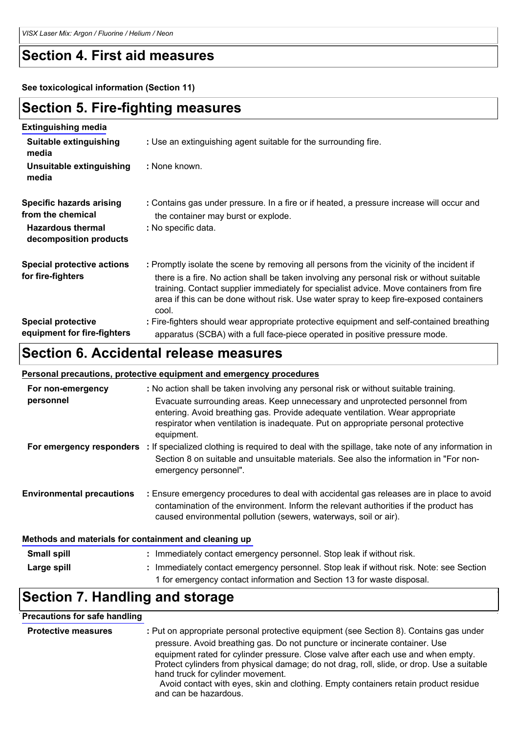### **Section 4. First aid measures**

**See toxicological information (Section 11)**

### **Section 5. Fire-fighting measures**

| <b>Extinguishing media</b>                                                                                 |                                                                                                                                                                                                                                                                                                                                                                                      |
|------------------------------------------------------------------------------------------------------------|--------------------------------------------------------------------------------------------------------------------------------------------------------------------------------------------------------------------------------------------------------------------------------------------------------------------------------------------------------------------------------------|
| Suitable extinguishing<br>media                                                                            | : Use an extinguishing agent suitable for the surrounding fire.                                                                                                                                                                                                                                                                                                                      |
| Unsuitable extinguishing<br>media                                                                          | : None known.                                                                                                                                                                                                                                                                                                                                                                        |
| <b>Specific hazards arising</b><br>from the chemical<br><b>Hazardous thermal</b><br>decomposition products | : Contains gas under pressure. In a fire or if heated, a pressure increase will occur and<br>the container may burst or explode.<br>: No specific data.                                                                                                                                                                                                                              |
| <b>Special protective actions</b><br>for fire-fighters                                                     | : Promptly isolate the scene by removing all persons from the vicinity of the incident if<br>there is a fire. No action shall be taken involving any personal risk or without suitable<br>training. Contact supplier immediately for specialist advice. Move containers from fire<br>area if this can be done without risk. Use water spray to keep fire-exposed containers<br>cool. |
| <b>Special protective</b><br>equipment for fire-fighters                                                   | : Fire-fighters should wear appropriate protective equipment and self-contained breathing<br>apparatus (SCBA) with a full face-piece operated in positive pressure mode.                                                                                                                                                                                                             |

### **Section 6. Accidental release measures**

#### **Personal precautions, protective equipment and emergency procedures**

| For non-emergency                | : No action shall be taken involving any personal risk or without suitable training.                                                                                                                                                                            |
|----------------------------------|-----------------------------------------------------------------------------------------------------------------------------------------------------------------------------------------------------------------------------------------------------------------|
| personnel                        | Evacuate surrounding areas. Keep unnecessary and unprotected personnel from<br>entering. Avoid breathing gas. Provide adequate ventilation. Wear appropriate<br>respirator when ventilation is inadequate. Put on appropriate personal protective<br>equipment. |
| For emergency responders         | : If specialized clothing is required to deal with the spillage, take note of any information in<br>Section 8 on suitable and unsuitable materials. See also the information in "For non-<br>emergency personnel".                                              |
| <b>Environmental precautions</b> | : Ensure emergency procedures to deal with accidental gas releases are in place to avoid<br>contamination of the environment. Inform the relevant authorities if the product has<br>caused environmental pollution (sewers, waterways, soil or air).            |
|                                  |                                                                                                                                                                                                                                                                 |

#### **Methods and materials for containment and cleaning up**

| <b>Small spill</b> | : Immediately contact emergency personnel. Stop leak if without risk.                   |
|--------------------|-----------------------------------------------------------------------------------------|
| Large spill        | : Immediately contact emergency personnel. Stop leak if without risk. Note: see Section |
|                    | 1 for emergency contact information and Section 13 for waste disposal.                  |

### **Section 7. Handling and storage**

### **Precautions for safe handling**

| <b>Protective measures</b> | : Put on appropriate personal protective equipment (see Section 8). Contains gas under<br>pressure. Avoid breathing gas. Do not puncture or incinerate container. Use<br>equipment rated for cylinder pressure. Close valve after each use and when empty.<br>Protect cylinders from physical damage; do not drag, roll, slide, or drop. Use a suitable<br>hand truck for cylinder movement.<br>Avoid contact with eyes, skin and clothing. Empty containers retain product residue |
|----------------------------|-------------------------------------------------------------------------------------------------------------------------------------------------------------------------------------------------------------------------------------------------------------------------------------------------------------------------------------------------------------------------------------------------------------------------------------------------------------------------------------|
|                            | and can be hazardous.                                                                                                                                                                                                                                                                                                                                                                                                                                                               |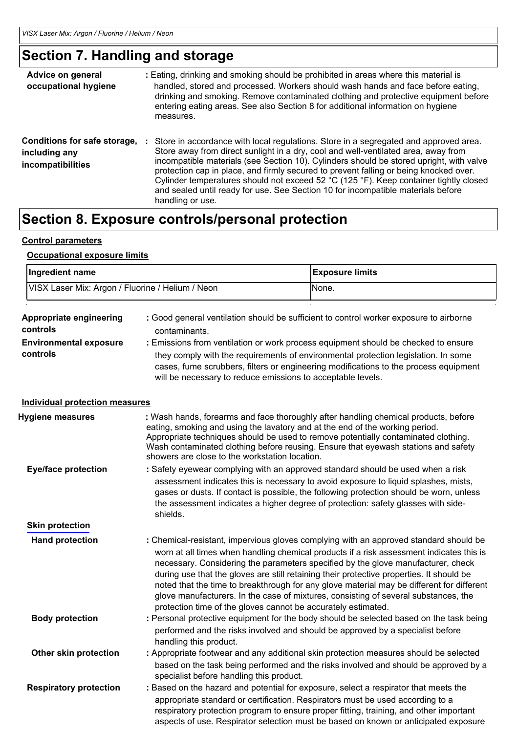## **Section 7. Handling and storage**

| Advice on general<br>occupational hygiene                          | : Eating, drinking and smoking should be prohibited in areas where this material is<br>handled, stored and processed. Workers should wash hands and face before eating,<br>drinking and smoking. Remove contaminated clothing and protective equipment before<br>entering eating areas. See also Section 8 for additional information on hygiene<br>measures.                                                                                                                                                                                                   |
|--------------------------------------------------------------------|-----------------------------------------------------------------------------------------------------------------------------------------------------------------------------------------------------------------------------------------------------------------------------------------------------------------------------------------------------------------------------------------------------------------------------------------------------------------------------------------------------------------------------------------------------------------|
| Conditions for safe storage,<br>including any<br>incompatibilities | Store in accordance with local regulations. Store in a segregated and approved area.<br>Store away from direct sunlight in a dry, cool and well-ventilated area, away from<br>incompatible materials (see Section 10). Cylinders should be stored upright, with valve<br>protection cap in place, and firmly secured to prevent falling or being knocked over.<br>Cylinder temperatures should not exceed 52 °C (125 °F). Keep container tightly closed<br>and sealed until ready for use. See Section 10 for incompatible materials before<br>handling or use. |

# **Section 8. Exposure controls/personal protection**

#### **Control parameters**

#### **Occupational exposure limits**

|                                                                                                   | Ingredient name                                  |                                                                                                                                                                                                                                                                                                                                                                                                   | <b>Exposure limits</b>                                                                                                                                                                                                                                                                                                                                                                                                                                                                                                                                |  |
|---------------------------------------------------------------------------------------------------|--------------------------------------------------|---------------------------------------------------------------------------------------------------------------------------------------------------------------------------------------------------------------------------------------------------------------------------------------------------------------------------------------------------------------------------------------------------|-------------------------------------------------------------------------------------------------------------------------------------------------------------------------------------------------------------------------------------------------------------------------------------------------------------------------------------------------------------------------------------------------------------------------------------------------------------------------------------------------------------------------------------------------------|--|
|                                                                                                   | VISX Laser Mix: Argon / Fluorine / Helium / Neon |                                                                                                                                                                                                                                                                                                                                                                                                   | None.                                                                                                                                                                                                                                                                                                                                                                                                                                                                                                                                                 |  |
| Appropriate engineering<br>controls<br>contaminants.<br><b>Environmental exposure</b><br>controls |                                                  | will be necessary to reduce emissions to acceptable levels.                                                                                                                                                                                                                                                                                                                                       | : Good general ventilation should be sufficient to control worker exposure to airborne<br>: Emissions from ventilation or work process equipment should be checked to ensure<br>they comply with the requirements of environmental protection legislation. In some<br>cases, fume scrubbers, filters or engineering modifications to the process equipment                                                                                                                                                                                            |  |
|                                                                                                   | <b>Individual protection measures</b>            |                                                                                                                                                                                                                                                                                                                                                                                                   |                                                                                                                                                                                                                                                                                                                                                                                                                                                                                                                                                       |  |
|                                                                                                   | Hygiene measures                                 | : Wash hands, forearms and face thoroughly after handling chemical products, before<br>eating, smoking and using the lavatory and at the end of the working period.<br>Appropriate techniques should be used to remove potentially contaminated clothing.<br>Wash contaminated clothing before reusing. Ensure that eyewash stations and safety<br>showers are close to the workstation location. |                                                                                                                                                                                                                                                                                                                                                                                                                                                                                                                                                       |  |
|                                                                                                   | <b>Eye/face protection</b>                       | : Safety eyewear complying with an approved standard should be used when a risk<br>assessment indicates this is necessary to avoid exposure to liquid splashes, mists,<br>gases or dusts. If contact is possible, the following protection should be worn, unless<br>the assessment indicates a higher degree of protection: safety glasses with side-<br>shields.                                |                                                                                                                                                                                                                                                                                                                                                                                                                                                                                                                                                       |  |
|                                                                                                   | <b>Skin protection</b>                           |                                                                                                                                                                                                                                                                                                                                                                                                   |                                                                                                                                                                                                                                                                                                                                                                                                                                                                                                                                                       |  |
|                                                                                                   | <b>Hand protection</b>                           | protection time of the gloves cannot be accurately estimated.                                                                                                                                                                                                                                                                                                                                     | : Chemical-resistant, impervious gloves complying with an approved standard should be<br>worn at all times when handling chemical products if a risk assessment indicates this is<br>necessary. Considering the parameters specified by the glove manufacturer, check<br>during use that the gloves are still retaining their protective properties. It should be<br>noted that the time to breakthrough for any glove material may be different for different<br>glove manufacturers. In the case of mixtures, consisting of several substances, the |  |
|                                                                                                   | <b>Body protection</b>                           | handling this product.                                                                                                                                                                                                                                                                                                                                                                            | : Personal protective equipment for the body should be selected based on the task being<br>performed and the risks involved and should be approved by a specialist before                                                                                                                                                                                                                                                                                                                                                                             |  |
|                                                                                                   | Other skin protection                            | specialist before handling this product.                                                                                                                                                                                                                                                                                                                                                          | : Appropriate footwear and any additional skin protection measures should be selected<br>based on the task being performed and the risks involved and should be approved by a                                                                                                                                                                                                                                                                                                                                                                         |  |
|                                                                                                   | <b>Respiratory protection</b>                    |                                                                                                                                                                                                                                                                                                                                                                                                   | : Based on the hazard and potential for exposure, select a respirator that meets the<br>appropriate standard or certification. Respirators must be used according to a<br>respiratory protection program to ensure proper fitting, training, and other important<br>aspects of use. Respirator selection must be based on known or anticipated exposure                                                                                                                                                                                               |  |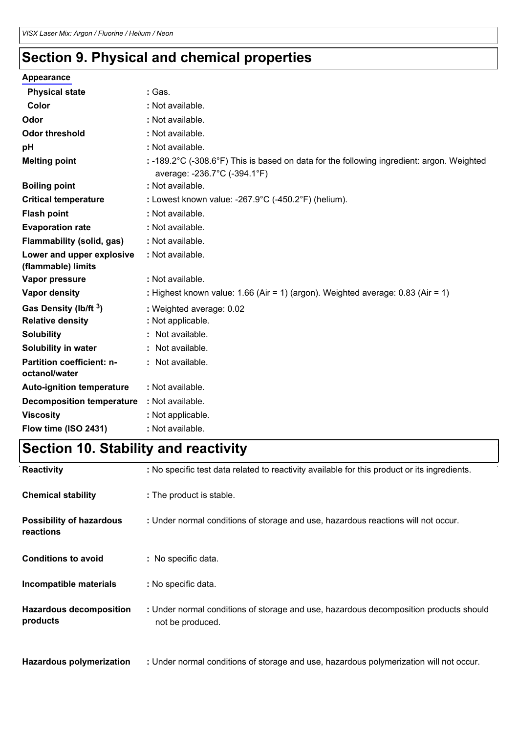# **Section 9. Physical and chemical properties**

### **Appearance**

| <b>Physical state</b>                             | : Gas.                                                                                                                    |
|---------------------------------------------------|---------------------------------------------------------------------------------------------------------------------------|
| Color                                             | : Not available.                                                                                                          |
| Odor                                              | : Not available.                                                                                                          |
| <b>Odor threshold</b>                             | : Not available.                                                                                                          |
| pH                                                | : Not available.                                                                                                          |
| <b>Melting point</b>                              | : -189.2°C (-308.6°F) This is based on data for the following ingredient: argon. Weighted<br>average: -236.7°C (-394.1°F) |
| <b>Boiling point</b>                              | : Not available.                                                                                                          |
| <b>Critical temperature</b>                       | : Lowest known value: -267.9 $\degree$ C (-450.2 $\degree$ F) (helium).                                                   |
| <b>Flash point</b>                                | : Not available.                                                                                                          |
| <b>Evaporation rate</b>                           | : Not available.                                                                                                          |
| Flammability (solid, gas)                         | : Not available.                                                                                                          |
| Lower and upper explosive<br>(flammable) limits   | : Not available.                                                                                                          |
| Vapor pressure                                    | : Not available.                                                                                                          |
| Vapor density                                     | : Highest known value: 1.66 (Air = 1) (argon). Weighted average: 0.83 (Air = 1)                                           |
| Gas Density (lb/ft 3)<br><b>Relative density</b>  | : Weighted average: 0.02<br>: Not applicable.                                                                             |
| <b>Solubility</b>                                 | : Not available.                                                                                                          |
| Solubility in water                               | : Not available.                                                                                                          |
| <b>Partition coefficient: n-</b><br>octanol/water | : Not available.                                                                                                          |
| <b>Auto-ignition temperature</b>                  | : Not available.                                                                                                          |
| <b>Decomposition temperature</b>                  | : Not available.                                                                                                          |
| <b>Viscosity</b>                                  | : Not applicable.                                                                                                         |
| Flow time (ISO 2431)                              | : Not available.                                                                                                          |

# **Section 10. Stability and reactivity**

| Reactivity                                   | : No specific test data related to reactivity available for this product or its ingredients.              |
|----------------------------------------------|-----------------------------------------------------------------------------------------------------------|
| <b>Chemical stability</b>                    | : The product is stable.                                                                                  |
| <b>Possibility of hazardous</b><br>reactions | : Under normal conditions of storage and use, hazardous reactions will not occur.                         |
| <b>Conditions to avoid</b>                   | : No specific data.                                                                                       |
| Incompatible materials                       | : No specific data.                                                                                       |
| <b>Hazardous decomposition</b><br>products   | : Under normal conditions of storage and use, hazardous decomposition products should<br>not be produced. |
| <b>Hazardous polymerization</b>              | : Under normal conditions of storage and use, hazardous polymerization will not occur.                    |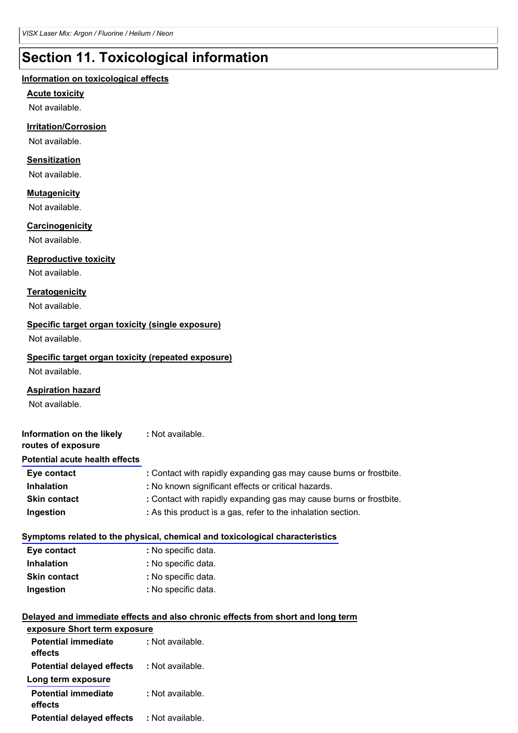# **Section 11. Toxicological information**

#### **Information on toxicological effects**

#### **Acute toxicity**

Not available.

#### **Irritation/Corrosion**

Not available.

#### **Sensitization**

Not available.

#### **Mutagenicity**

Not available.

#### **Carcinogenicity**

Not available.

#### **Reproductive toxicity**

Not available.

#### **Teratogenicity**

Not available.

#### **Specific target organ toxicity (single exposure)**

Not available.

#### **Specific target organ toxicity (repeated exposure)**

Not available.

#### **Aspiration hazard**

Not available.

| Information on the likely<br>routes of exposure | : Not available.                                                   |
|-------------------------------------------------|--------------------------------------------------------------------|
| <b>Potential acute health effects</b>           |                                                                    |
| Eye contact                                     | : Contact with rapidly expanding gas may cause burns or frostbite. |
| <b>Inhalation</b>                               | : No known significant effects or critical hazards.                |
| <b>Skin contact</b>                             | : Contact with rapidly expanding gas may cause burns or frostbite. |
| Ingestion                                       | : As this product is a gas, refer to the inhalation section.       |

#### **Symptoms related to the physical, chemical and toxicological characteristics**

| Eye contact         | : No specific data. |
|---------------------|---------------------|
| <b>Inhalation</b>   | : No specific data. |
| <b>Skin contact</b> | : No specific data. |
| Ingestion           | : No specific data. |

#### **Delayed and immediate effects and also chronic effects from short and long term exposure Short term exposure**

| <b>Potential immediate</b><br>effects                  | : Not available. |
|--------------------------------------------------------|------------------|
| <b>Potential delayed effects</b><br>Long term exposure | : Not available. |
| <b>Potential immediate</b><br>effects                  | : Not available. |
| <b>Potential delayed effects</b>                       | : Not available. |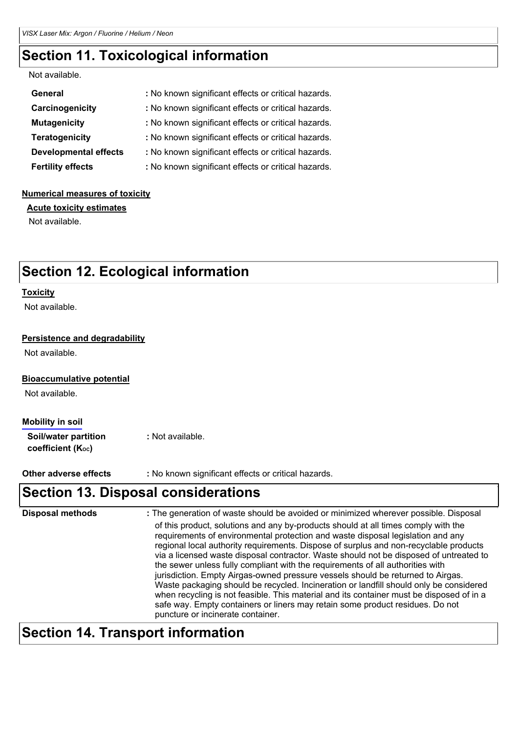### **Section 11. Toxicological information**

#### Not available.

| General                      | : No known significant effects or critical hazards. |
|------------------------------|-----------------------------------------------------|
| Carcinogenicity              | : No known significant effects or critical hazards. |
| <b>Mutagenicity</b>          | : No known significant effects or critical hazards. |
| <b>Teratogenicity</b>        | : No known significant effects or critical hazards. |
| <b>Developmental effects</b> | : No known significant effects or critical hazards. |
| <b>Fertility effects</b>     | : No known significant effects or critical hazards. |

#### **Numerical measures of toxicity**

**Acute toxicity estimates**

Not available.

### **Section 12. Ecological information**

#### **Toxicity**

Not available.

#### **Persistence and degradability**

Not available.

#### **Bioaccumulative potential**

Not available.

#### **Mobility in soil**

**Soil/water partition :** Not available.  $c$ *coefficient* (Koc)

**Other adverse effects :** No known significant effects or critical hazards.

### **Section 13. Disposal considerations**

| <b>Disposal methods</b> | : The generation of waste should be avoided or minimized wherever possible. Disposal                                                                                                                                                                                                                                                                                                                                                                                                                                                                                                                                                                                                                                                                                                                                                      |
|-------------------------|-------------------------------------------------------------------------------------------------------------------------------------------------------------------------------------------------------------------------------------------------------------------------------------------------------------------------------------------------------------------------------------------------------------------------------------------------------------------------------------------------------------------------------------------------------------------------------------------------------------------------------------------------------------------------------------------------------------------------------------------------------------------------------------------------------------------------------------------|
|                         | of this product, solutions and any by-products should at all times comply with the<br>requirements of environmental protection and waste disposal legislation and any<br>regional local authority requirements. Dispose of surplus and non-recyclable products<br>via a licensed waste disposal contractor. Waste should not be disposed of untreated to<br>the sewer unless fully compliant with the requirements of all authorities with<br>jurisdiction. Empty Airgas-owned pressure vessels should be returned to Airgas.<br>Waste packaging should be recycled. Incineration or landfill should only be considered<br>when recycling is not feasible. This material and its container must be disposed of in a<br>safe way. Empty containers or liners may retain some product residues. Do not<br>puncture or incinerate container. |

### **Section 14. Transport information**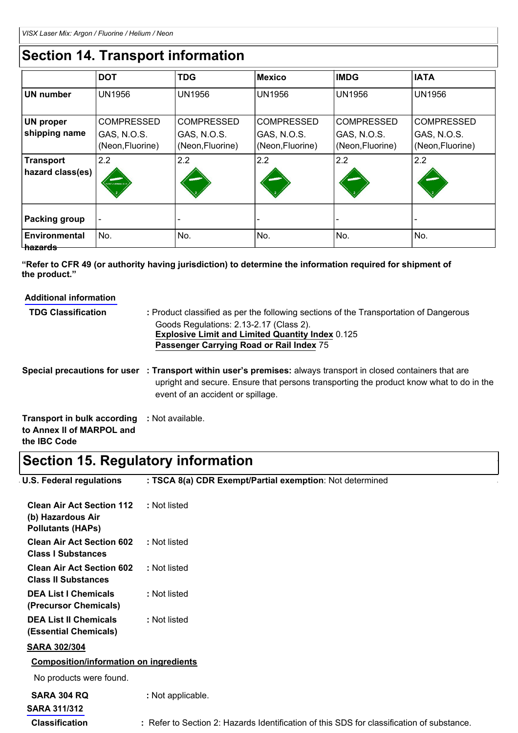# **Section 14. Transport information**

|                                              | <b>DOT</b>                      | <b>TDG</b>                      | <b>Mexico</b>                   | <b>IMDG</b>                     | <b>IATA</b>                     |
|----------------------------------------------|---------------------------------|---------------------------------|---------------------------------|---------------------------------|---------------------------------|
| <b>UN number</b>                             | <b>UN1956</b>                   | <b>UN1956</b>                   | <b>UN1956</b>                   | <b>UN1956</b>                   | <b>UN1956</b>                   |
| <b>UN proper</b>                             | <b>COMPRESSED</b>               | <b>COMPRESSED</b>               | <b>COMPRESSED</b>               | <b>COMPRESSED</b>               | <b>COMPRESSED</b>               |
| shipping name                                | GAS, N.O.S.<br>(Neon, Fluorine) | GAS, N.O.S.<br>(Neon, Fluorine) | GAS, N.O.S.<br>(Neon, Fluorine) | GAS, N.O.S.<br>(Neon, Fluorine) | GAS, N.O.S.<br>(Neon, Fluorine) |
| <b>Transport</b><br>hazard class(es)         | 2.2<br>NON-LAUGURE G            | 2.2                             | 2.2                             | 2.2                             | 2.2                             |
| <b>Packing group</b>                         | $\overline{\phantom{a}}$        | ٠                               | $\overline{\phantom{a}}$        |                                 |                                 |
| <b>Environmental</b><br><del>ˈ hazards</del> | No.                             | No.                             | No.                             | No.                             | No.                             |

**"Refer to CFR 49 (or authority having jurisdiction) to determine the information required for shipment of the product."**

| <b>Additional information</b>                                   |                                                                                                                                                                                                                                                 |
|-----------------------------------------------------------------|-------------------------------------------------------------------------------------------------------------------------------------------------------------------------------------------------------------------------------------------------|
| <b>TDG Classification</b>                                       | : Product classified as per the following sections of the Transportation of Dangerous                                                                                                                                                           |
|                                                                 | Goods Regulations: 2.13-2.17 (Class 2).<br><b>Explosive Limit and Limited Quantity Index 0.125</b><br>Passenger Carrying Road or Rail Index 75                                                                                                  |
|                                                                 | Special precautions for user : Transport within user's premises: always transport in closed containers that are<br>upright and secure. Ensure that persons transporting the product know what to do in the<br>event of an accident or spillage. |
| <b>Transport in bulk according</b><br>to Annex II of MARPOL and | : Not available.                                                                                                                                                                                                                                |

**the IBC Code**

# **Section 15. Regulatory information**

| U.S. Federal regulations                                                          | : TSCA 8(a) CDR Exempt/Partial exemption: Not determined |
|-----------------------------------------------------------------------------------|----------------------------------------------------------|
| <b>Clean Air Act Section 112</b><br>(b) Hazardous Air<br><b>Pollutants (HAPs)</b> | : Not listed                                             |
| <b>Clean Air Act Section 602</b><br><b>Class I Substances</b>                     | : Not listed                                             |
| <b>Clean Air Act Section 602</b><br><b>Class II Substances</b>                    | : Not listed                                             |
| <b>DEA List I Chemicals</b><br>(Precursor Chemicals)                              | : Not listed                                             |
| <b>DEA List II Chemicals</b><br>(Essential Chemicals)                             | : Not listed                                             |
| <b>SARA 302/304</b>                                                               |                                                          |
| <b>Composition/information on ingredients</b>                                     |                                                          |

| SARA 304 RQ           | : Not applicable.                                                                         |
|-----------------------|-------------------------------------------------------------------------------------------|
| <b>SARA 311/312</b>   |                                                                                           |
| <b>Classification</b> | : Refer to Section 2: Hazards Identification of this SDS for classification of substance. |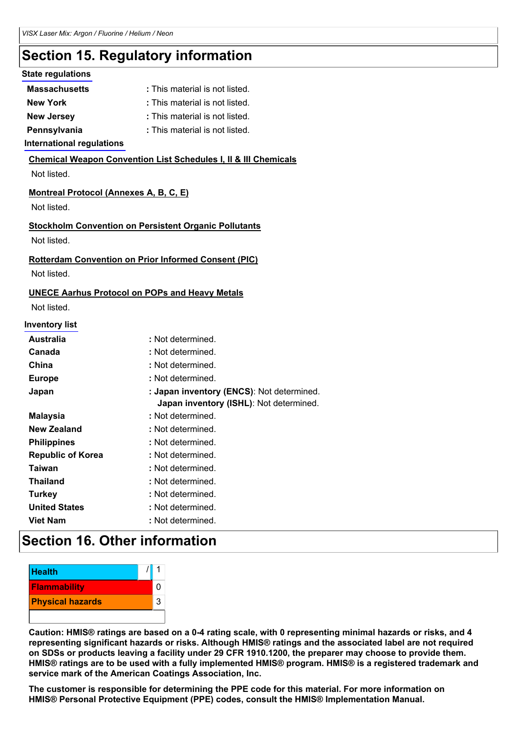# **Section 15. Regulatory information**

### **State regulations**

| <b>Massachusetts</b> | : This material is not listed. |
|----------------------|--------------------------------|
| New York             | : This material is not listed. |
| Naw Jareay           | . Thie material ie not lieted  |

- **New Jersey :** This material is not listed.
- **Pennsylvania :** This material is not listed.

### **International regulations**

### **Chemical Weapon Convention List Schedules I, II & III Chemicals**

Not listed.

### **Montreal Protocol (Annexes A, B, C, E)**

Not listed.

### **Stockholm Convention on Persistent Organic Pollutants**

Not listed.

### **Rotterdam Convention on Prior Informed Consent (PIC)**

Not listed.

### **UNECE Aarhus Protocol on POPs and Heavy Metals**

Not listed.

#### **Inventory list**

| <b>Australia</b>         | : Not determined.                                                                    |
|--------------------------|--------------------------------------------------------------------------------------|
| Canada                   | : Not determined.                                                                    |
| China                    | : Not determined.                                                                    |
| <b>Europe</b>            | : Not determined.                                                                    |
| Japan                    | : Japan inventory (ENCS): Not determined.<br>Japan inventory (ISHL): Not determined. |
| <b>Malaysia</b>          | : Not determined.                                                                    |
| <b>New Zealand</b>       | : Not determined.                                                                    |
| <b>Philippines</b>       | : Not determined.                                                                    |
| <b>Republic of Korea</b> | : Not determined.                                                                    |
| Taiwan                   | : Not determined.                                                                    |
| <b>Thailand</b>          | : Not determined.                                                                    |
| <b>Turkey</b>            | : Not determined.                                                                    |
| <b>United States</b>     | : Not determined.                                                                    |
| <b>Viet Nam</b>          | : Not determined.                                                                    |
|                          |                                                                                      |

### **Section 16. Other information**

| <b>Health</b>           |  |   |
|-------------------------|--|---|
| <b>Flammability</b>     |  |   |
| <b>Physical hazards</b> |  | 3 |
|                         |  |   |

Caution: HMIS® ratings are based on a 0-4 rating scale, with 0 representing minimal hazards or risks, and 4 **representing significant hazards or risks. Although HMIS® ratings and the associated label are not required** on SDSs or products leaving a facility under 29 CFR 1910.1200, the preparer may choose to provide them. HMIS® ratings are to be used with a fully implemented HMIS® program. HMIS® is a registered trademark and **service mark of the American Coatings Association, Inc.**

**The customer is responsible for determining the PPE code for this material. For more information on HMIS® Personal Protective Equipment (PPE) codes, consult the HMIS® Implementation Manual.**